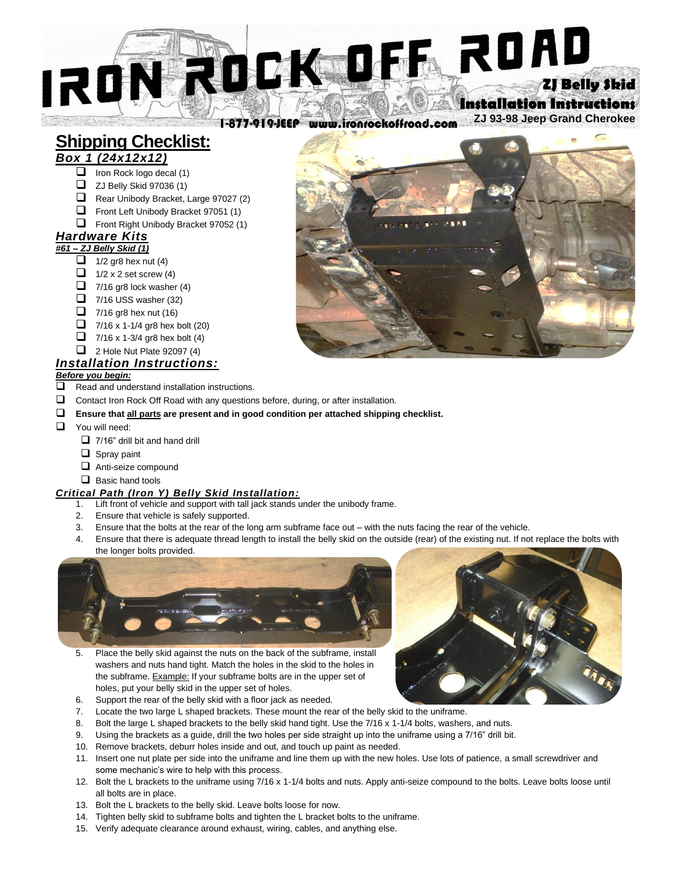# **N ROCK MEL ROAD** IRQ **Installation Instructions**

**ZJ 93-98 Jeep Grand Cherokee** 1-877-919-JEEP www.ironrockoffroad.com

## **Shipping Checklist:**

### *Box 1 (24x12x12)*

- ❑ Iron Rock logo decal (1)
- ❑ ZJ Belly Skid 97036 (1)
- ❑ Rear Unibody Bracket, Large 97027 (2)
- ❑ Front Left Unibody Bracket 97051 (1)
- ❑ Front Right Unibody Bracket 97052 (1)

#### *Hardware Kits #61 – ZJ Belly Skid (1)*

- $\Box$  1/2 gr8 hex nut (4)
- $\Box$  1/2 x 2 set screw (4)
- $\Box$  7/16 gr8 lock washer (4)
- $\Box$  7/16 USS washer (32)
- $\Box$  7/16 gr8 hex nut (16)
- 
- $\Box$  7/16 x 1-1/4 gr8 hex bolt (20)
- $\Box$  7/16 x 1-3/4 gr8 hex bolt (4)
- $\Box$  2 Hole Nut Plate 92097 (4)

#### *Installation Instructions: Before you begin:*

- ❑ Read and understand installation instructions.
- ❑ Contact Iron Rock Off Road with any questions before, during, or after installation.
- ❑ **Ensure that all parts are present and in good condition per attached shipping checklist.**
- ❑ You will need:
	- ❑ 7/16" drill bit and hand drill
	- ❑ Spray paint
	- ❑ Anti-seize compound
	- ❑ Basic hand tools

#### *Critical Path (Iron Y) Belly Skid Installation:*

- 1. Lift front of vehicle and support with tall jack stands under the unibody frame.
- 2. Ensure that vehicle is safely supported.
- 3. Ensure that the bolts at the rear of the long arm subframe face out with the nuts facing the rear of the vehicle.
- 4. Ensure that there is adequate thread length to install the belly skid on the outside (rear) of the existing nut. If not replace the bolts with the longer bolts provided.



- 5. Place the belly skid against the nuts on the back of the subframe, install washers and nuts hand tight. Match the holes in the skid to the holes in the subframe. Example: If your subframe bolts are in the upper set of holes, put your belly skid in the upper set of holes.
- 6. Support the rear of the belly skid with a floor jack as needed.
- 7. Locate the two large L shaped brackets. These mount the rear of the belly skid to the uniframe.
- 8. Bolt the large L shaped brackets to the belly skid hand tight. Use the 7/16 x 1-1/4 bolts, washers, and nuts.
- 9. Using the brackets as a guide, drill the two holes per side straight up into the uniframe using a 7/16" drill bit.
- 10. Remove brackets, deburr holes inside and out, and touch up paint as needed.
- 11. Insert one nut plate per side into the uniframe and line them up with the new holes. Use lots of patience, a small screwdriver and some mechanic's wire to help with this process.
- 12. Bolt the L brackets to the uniframe using 7/16 x 1-1/4 bolts and nuts. Apply anti-seize compound to the bolts. Leave bolts loose until all bolts are in place.
- 13. Bolt the L brackets to the belly skid. Leave bolts loose for now.
- 14. Tighten belly skid to subframe bolts and tighten the L bracket bolts to the uniframe.
- 15. Verify adequate clearance around exhaust, wiring, cables, and anything else.